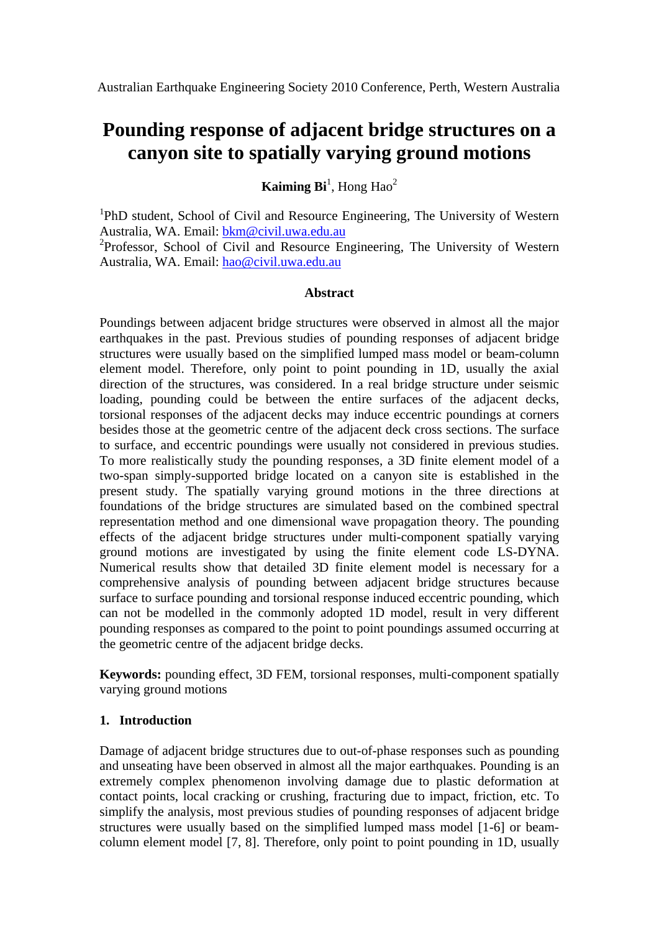# **Pounding response of adjacent bridge structures on a canyon site to spatially varying ground motions**

**Kaiming Bi**<sup>1</sup>, Hong Hao<sup>2</sup>

<sup>1</sup>PhD student, School of Civil and Resource Engineering, The University of Western Australia, WA. Email: [bkm@civil.uwa.edu.au](mailto:bkm@civil.uwa.edu.au)

<sup>2</sup>Professor, School of Civil and Resource Engineering, The University of Western Australia, WA. Email: [hao@civil.uwa.edu.au](mailto:hao@civil.uwa.edu.au)

## **Abstract**

Poundings between adjacent bridge structures were observed in almost all the major earthquakes in the past. Previous studies of pounding responses of adjacent bridge structures were usually based on the simplified lumped mass model or beam-column element model. Therefore, only point to point pounding in 1D, usually the axial direction of the structures, was considered. In a real bridge structure under seismic loading, pounding could be between the entire surfaces of the adjacent decks, torsional responses of the adjacent decks may induce eccentric poundings at corners besides those at the geometric centre of the adjacent deck cross sections. The surface to surface, and eccentric poundings were usually not considered in previous studies. To more realistically study the pounding responses, a 3D finite element model of a two-span simply-supported bridge located on a canyon site is established in the present study. The spatially varying ground motions in the three directions at foundations of the bridge structures are simulated based on the combined spectral representation method and one dimensional wave propagation theory. The pounding effects of the adjacent bridge structures under multi-component spatially varying ground motions are investigated by using the finite element code LS-DYNA. Numerical results show that detailed 3D finite element model is necessary for a comprehensive analysis of pounding between adjacent bridge structures because surface to surface pounding and torsional response induced eccentric pounding, which can not be modelled in the commonly adopted 1D model, result in very different pounding responses as compared to the point to point poundings assumed occurring at the geometric centre of the adjacent bridge decks.

**Keywords:** pounding effect, 3D FEM, torsional responses, multi-component spatially varying ground motions

# **1. Introduction**

Damage of adjacent bridge structures due to out-of-phase responses such as pounding and unseating have been observed in almost all the major earthquakes. Pounding is an extremely complex phenomenon involving damage due to plastic deformation at contact points, local cracking or crushing, fracturing due to impact, friction, etc. To simplify the analysis, most previous studies of pounding responses of adjacent bridge structures were usually based on the simplified lumped mass model [1-6] or beamcolumn element model [7, 8]. Therefore, only point to point pounding in 1D, usually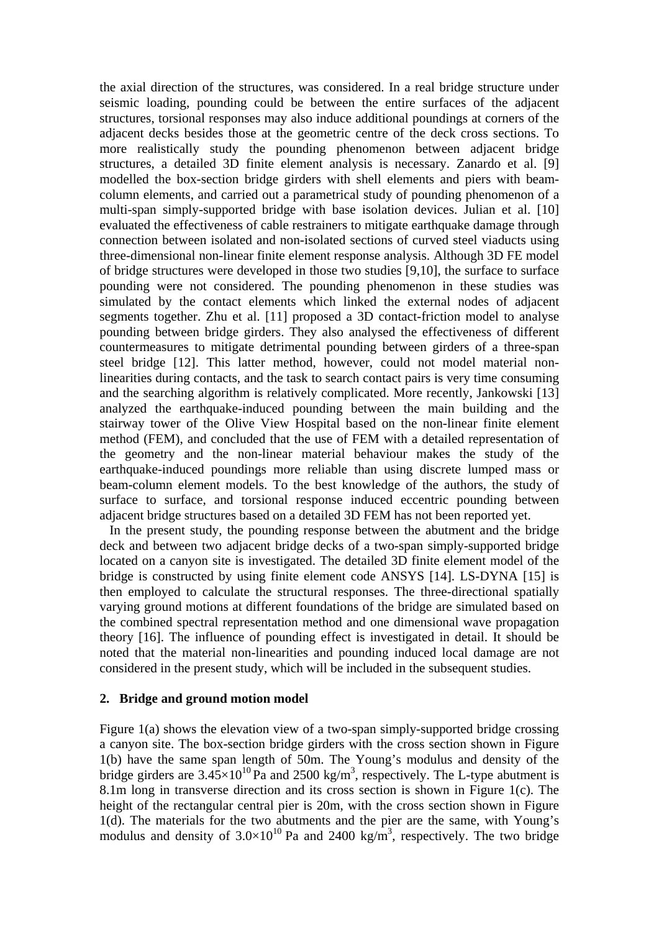the axial direction of the structures, was considered. In a real bridge structure under seismic loading, pounding could be between the entire surfaces of the adjacent structures, torsional responses may also induce additional poundings at corners of the adjacent decks besides those at the geometric centre of the deck cross sections. To more realistically study the pounding phenomenon between adjacent bridge structures, a detailed 3D finite element analysis is necessary. Zanardo et al. [9] modelled the box-section bridge girders with shell elements and piers with beamcolumn elements, and carried out a parametrical study of pounding phenomenon of a multi-span simply-supported bridge with base isolation devices. Julian et al. [10] evaluated the effectiveness of cable restrainers to mitigate earthquake damage through connection between isolated and non-isolated sections of curved steel viaducts using three-dimensional non-linear finite element response analysis. Although 3D FE model of bridge structures were developed in those two studies [9,10], the surface to surface pounding were not considered. The pounding phenomenon in these studies was simulated by the contact elements which linked the external nodes of adjacent segments together. Zhu et al. [11] proposed a 3D contact-friction model to analyse pounding between bridge girders. They also analysed the effectiveness of different countermeasures to mitigate detrimental pounding between girders of a three-span steel bridge [12]. This latter method, however, could not model material nonlinearities during contacts, and the task to search contact pairs is very time consuming and the searching algorithm is relatively complicated. More recently, Jankowski [13] analyzed the earthquake-induced pounding between the main building and the stairway tower of the Olive View Hospital based on the non-linear finite element method (FEM), and concluded that the use of FEM with a detailed representation of the geometry and the non-linear material behaviour makes the study of the earthquake-induced poundings more reliable than using discrete lumped mass or beam-column element models. To the best knowledge of the authors, the study of surface to surface, and torsional response induced eccentric pounding between adjacent bridge structures based on a detailed 3D FEM has not been reported yet.

 In the present study, the pounding response between the abutment and the bridge deck and between two adjacent bridge decks of a two-span simply-supported bridge located on a canyon site is investigated. The detailed 3D finite element model of the bridge is constructed by using finite element code ANSYS [14]. LS-DYNA [15] is then employed to calculate the structural responses. The three-directional spatially varying ground motions at different foundations of the bridge are simulated based on the combined spectral representation method and one dimensional wave propagation theory [16]. The influence of pounding effect is investigated in detail. It should be noted that the material non-linearities and pounding induced local damage are not considered in the present study, which will be included in the subsequent studies.

#### **2. Bridge and ground motion model**

Figure 1(a) shows the elevation view of a two-span simply-supported bridge crossing a canyon site. The box-section bridge girders with the cross section shown in Figure 1(b) have the same span length of 50m. The Young's modulus and density of the bridge girders are  $3.45 \times 10^{10}$  Pa and 2500 kg/m<sup>3</sup>, respectively. The L-type abutment is 8.1m long in transverse direction and its cross section is shown in Figure 1(c). The height of the rectangular central pier is 20m, with the cross section shown in Figure 1(d). The materials for the two abutments and the pier are the same, with Young's modulus and density of  $3.0 \times 10^{10}$  Pa and 2400 kg/m<sup>3</sup>, respectively. The two bridge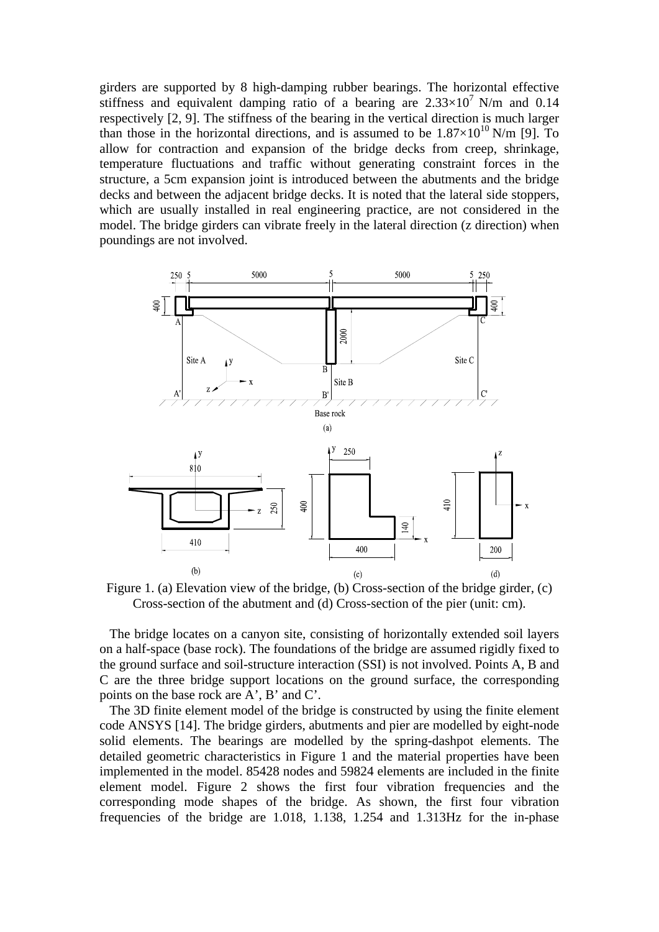girders are supported by 8 high-damping rubber bearings. The horizontal effective stiffness and equivalent damping ratio of a bearing are  $2.33 \times 10^7$  N/m and 0.14 respectively [2, 9]. The stiffness of the bearing in the vertical direction is much larger than those in the horizontal directions, and is assumed to be  $1.87\times10^{10}$  N/m [9]. To allow for contraction and expansion of the bridge decks from creep, shrinkage, temperature fluctuations and traffic without generating constraint forces in the structure, a 5cm expansion joint is introduced between the abutments and the bridge decks and between the adjacent bridge decks. It is noted that the lateral side stoppers, which are usually installed in real engineering practice, are not considered in the model. The bridge girders can vibrate freely in the lateral direction (z direction) when poundings are not involved.



Figure 1. (a) Elevation view of the bridge, (b) Cross-section of the bridge girder, (c) Cross-section of the abutment and (d) Cross-section of the pier (unit: cm).

 The bridge locates on a canyon site, consisting of horizontally extended soil layers on a half-space (base rock). The foundations of the bridge are assumed rigidly fixed to the ground surface and soil-structure interaction (SSI) is not involved. Points A, B and C are the three bridge support locations on the ground surface, the corresponding points on the base rock are A', B' and C'.

 The 3D finite element model of the bridge is constructed by using the finite element code ANSYS [14]. The bridge girders, abutments and pier are modelled by eight-node solid elements. The bearings are modelled by the spring-dashpot elements. The detailed geometric characteristics in Figure 1 and the material properties have been implemented in the model. 85428 nodes and 59824 elements are included in the finite element model. Figure 2 shows the first four vibration frequencies and the corresponding mode shapes of the bridge. As shown, the first four vibration frequencies of the bridge are 1.018, 1.138, 1.254 and 1.313Hz for the in-phase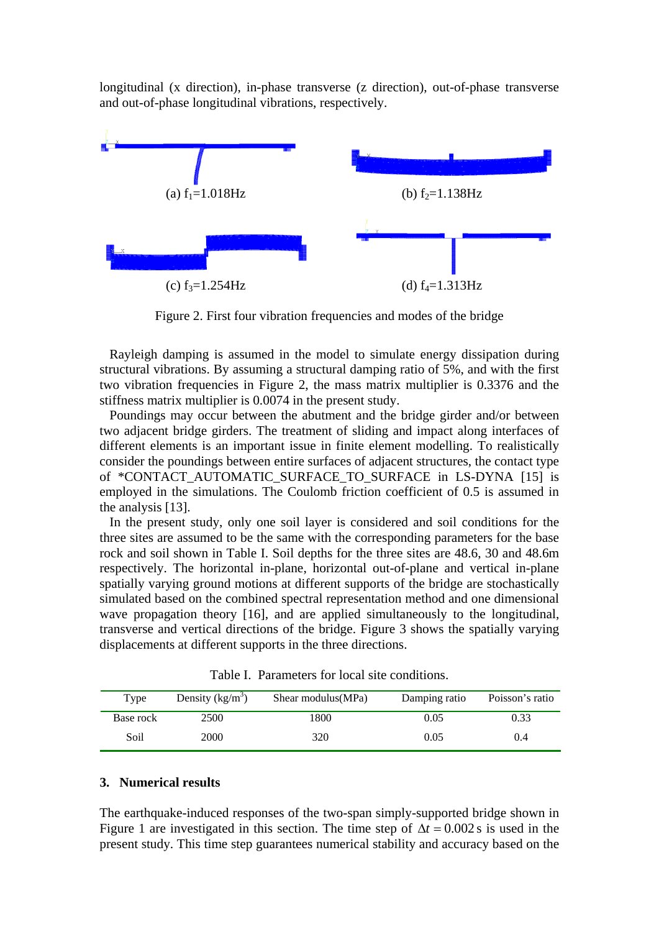longitudinal (x direction), in-phase transverse (z direction), out-of-phase transverse and out-of-phase longitudinal vibrations, respectively.



Figure 2. First four vibration frequencies and modes of the bridge

 Rayleigh damping is assumed in the model to simulate energy dissipation during structural vibrations. By assuming a structural damping ratio of 5%, and with the first two vibration frequencies in Figure 2, the mass matrix multiplier is 0.3376 and the stiffness matrix multiplier is 0.0074 in the present study.

 Poundings may occur between the abutment and the bridge girder and/or between two adjacent bridge girders. The treatment of sliding and impact along interfaces of different elements is an important issue in finite element modelling. To realistically consider the poundings between entire surfaces of adjacent structures, the contact type of \*CONTACT\_AUTOMATIC\_SURFACE\_TO\_SURFACE in LS-DYNA [15] is employed in the simulations. The Coulomb friction coefficient of 0.5 is assumed in the analysis [13].

 In the present study, only one soil layer is considered and soil conditions for the three sites are assumed to be the same with the corresponding parameters for the base rock and soil shown in Table I. Soil depths for the three sites are 48.6, 30 and 48.6m respectively. The horizontal in-plane, horizontal out-of-plane and vertical in-plane spatially varying ground motions at different supports of the bridge are stochastically simulated based on the combined spectral representation method and one dimensional wave propagation theory [16], and are applied simultaneously to the longitudinal, transverse and vertical directions of the bridge. Figure 3 shows the spatially varying displacements at different supports in the three directions.

| Type      | Density $(kg/m^3)$ | Shear modulus (MPa) | Damping ratio | Poisson's ratio |
|-----------|--------------------|---------------------|---------------|-----------------|
| Base rock | 2500               | 1800                | 0.05          | 0.33            |
| Soil      | 2000               | 320                 | 0.05          | 0.4             |

Table I. Parameters for local site conditions.

#### **3. Numerical results**

The earthquake-induced responses of the two-span simply-supported bridge shown in Figure 1 are investigated in this section. The time step of  $\Delta t = 0.002$  s is used in the present study. This time step guarantees numerical stability and accuracy based on the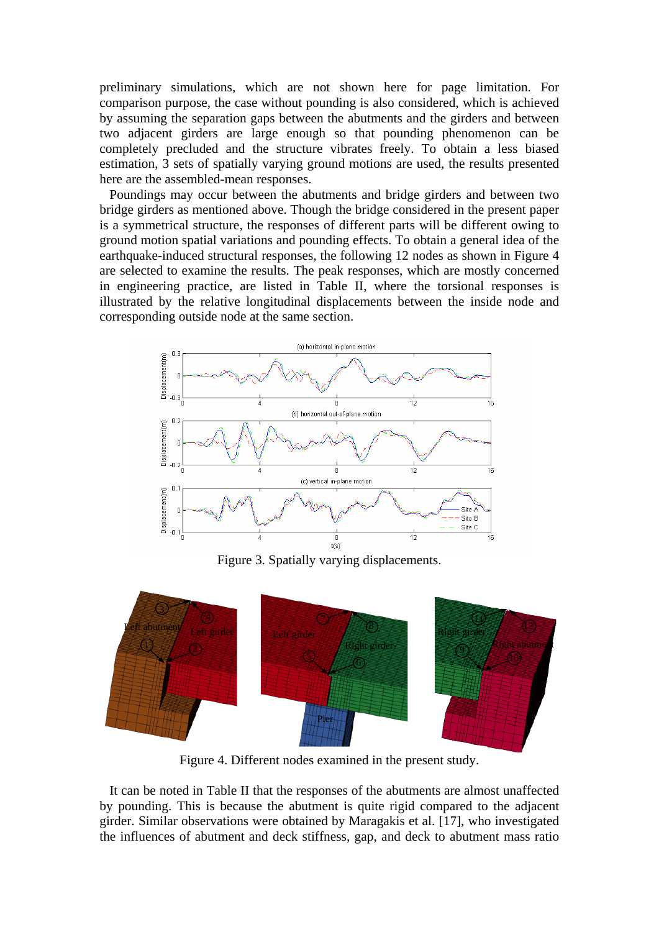preliminary simulations, which are not shown here for page limitation. For comparison purpose, the case without pounding is also considered, which is achieved by assuming the separation gaps between the abutments and the girders and between two adjacent girders are large enough so that pounding phenomenon can be completely precluded and the structure vibrates freely. To obtain a less biased estimation, 3 sets of spatially varying ground motions are used, the results presented here are the assembled-mean responses.

 Poundings may occur between the abutments and bridge girders and between two bridge girders as mentioned above. Though the bridge considered in the present paper is a symmetrical structure, the responses of different parts will be different owing to ground motion spatial variations and pounding effects. To obtain a general idea of the earthquake-induced structural responses, the following 12 nodes as shown in Figure 4 are selected to examine the results. The peak responses, which are mostly concerned in engineering practice, are listed in Table II, where the torsional responses is illustrated by the relative longitudinal displacements between the inside node and corresponding outside node at the same section.



Figure 3. Spatially varying displacements.



Figure 4. Different nodes examined in the present study.

 It can be noted in Table II that the responses of the abutments are almost unaffected by pounding. This is because the abutment is quite rigid compared to the adjacent girder. Similar observations were obtained by Maragakis et al. [17], who investigated the influences of abutment and deck stiffness, gap, and deck to abutment mass ratio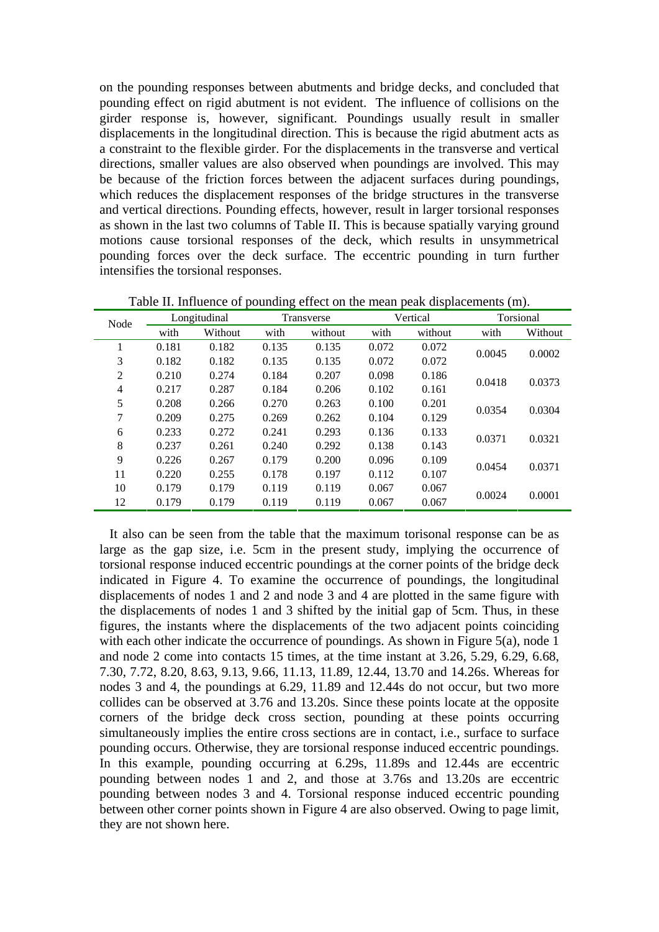on the pounding responses between abutments and bridge decks, and concluded that pounding effect on rigid abutment is not evident. The influence of collisions on the girder response is, however, significant. Poundings usually result in smaller displacements in the longitudinal direction. This is because the rigid abutment acts as a constraint to the flexible girder. For the displacements in the transverse and vertical directions, smaller values are also observed when poundings are involved. This may be because of the friction forces between the adjacent surfaces during poundings, which reduces the displacement responses of the bridge structures in the transverse and vertical directions. Pounding effects, however, result in larger torsional responses as shown in the last two columns of Table II. This is because spatially varying ground motions cause torsional responses of the deck, which results in unsymmetrical pounding forces over the deck surface. The eccentric pounding in turn further intensifies the torsional responses.

| Node           | Longitudinal |         | Transverse |         | Vertical |         | Torsional |         |
|----------------|--------------|---------|------------|---------|----------|---------|-----------|---------|
|                | with         | Without | with       | without | with     | without | with      | Without |
| 1              | 0.181        | 0.182   | 0.135      | 0.135   | 0.072    | 0.072   | 0.0045    | 0.0002  |
| 3              | 0.182        | 0.182   | 0.135      | 0.135   | 0.072    | 0.072   |           |         |
| $\overline{2}$ | 0.210        | 0.274   | 0.184      | 0.207   | 0.098    | 0.186   | 0.0418    | 0.0373  |
| $\overline{4}$ | 0.217        | 0.287   | 0.184      | 0.206   | 0.102    | 0.161   |           |         |
| 5              | 0.208        | 0.266   | 0.270      | 0.263   | 0.100    | 0.201   | 0.0354    | 0.0304  |
| 7              | 0.209        | 0.275   | 0.269      | 0.262   | 0.104    | 0.129   |           |         |
| 6              | 0.233        | 0.272   | 0.241      | 0.293   | 0.136    | 0.133   | 0.0371    | 0.0321  |
| 8              | 0.237        | 0.261   | 0.240      | 0.292   | 0.138    | 0.143   |           |         |
| 9              | 0.226        | 0.267   | 0.179      | 0.200   | 0.096    | 0.109   | 0.0454    | 0.0371  |
| 11             | 0.220        | 0.255   | 0.178      | 0.197   | 0.112    | 0.107   |           |         |
| 10             | 0.179        | 0.179   | 0.119      | 0.119   | 0.067    | 0.067   | 0.0024    | 0.0001  |
| 12             | 0.179        | 0.179   | 0.119      | 0.119   | 0.067    | 0.067   |           |         |

Table II. Influence of pounding effect on the mean peak displacements (m).

 It also can be seen from the table that the maximum torisonal response can be as large as the gap size, i.e. 5cm in the present study, implying the occurrence of torsional response induced eccentric poundings at the corner points of the bridge deck indicated in Figure 4. To examine the occurrence of poundings, the longitudinal displacements of nodes 1 and 2 and node 3 and 4 are plotted in the same figure with the displacements of nodes 1 and 3 shifted by the initial gap of 5cm. Thus, in these figures, the instants where the displacements of the two adjacent points coinciding with each other indicate the occurrence of poundings. As shown in Figure 5(a), node 1 and node 2 come into contacts 15 times, at the time instant at 3.26, 5.29, 6.29, 6.68, 7.30, 7.72, 8.20, 8.63, 9.13, 9.66, 11.13, 11.89, 12.44, 13.70 and 14.26s. Whereas for nodes 3 and 4, the poundings at 6.29, 11.89 and 12.44s do not occur, but two more collides can be observed at 3.76 and 13.20s. Since these points locate at the opposite corners of the bridge deck cross section, pounding at these points occurring simultaneously implies the entire cross sections are in contact, i.e., surface to surface pounding occurs. Otherwise, they are torsional response induced eccentric poundings. In this example, pounding occurring at 6.29s, 11.89s and 12.44s are eccentric pounding between nodes 1 and 2, and those at 3.76s and 13.20s are eccentric pounding between nodes 3 and 4. Torsional response induced eccentric pounding between other corner points shown in Figure 4 are also observed. Owing to page limit, they are not shown here.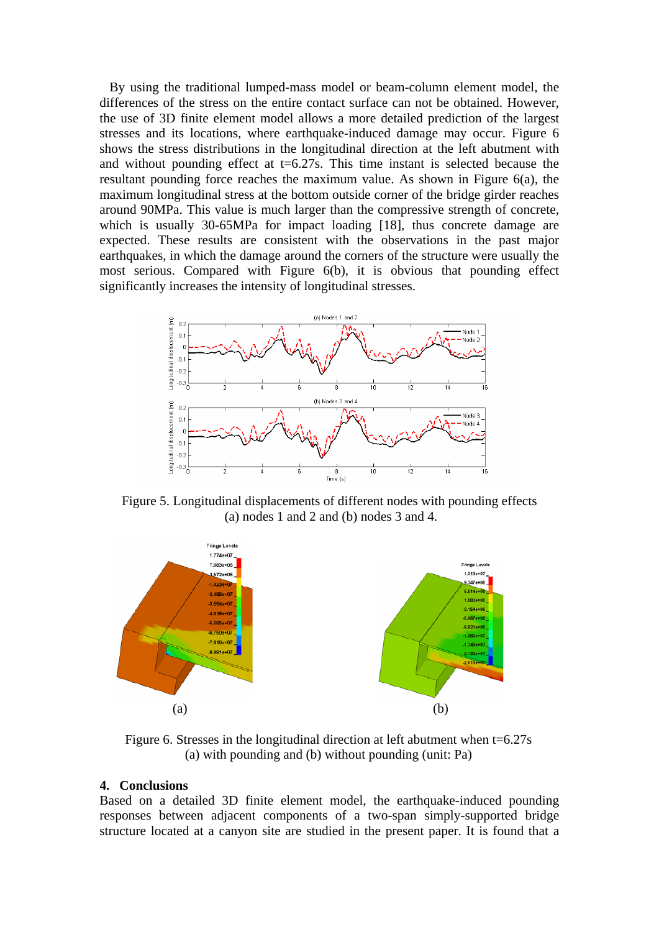By using the traditional lumped-mass model or beam-column element model, the differences of the stress on the entire contact surface can not be obtained. However, the use of 3D finite element model allows a more detailed prediction of the largest stresses and its locations, where earthquake-induced damage may occur. Figure 6 shows the stress distributions in the longitudinal direction at the left abutment with and without pounding effect at  $t=6.27$ s. This time instant is selected because the resultant pounding force reaches the maximum value. As shown in Figure 6(a), the maximum longitudinal stress at the bottom outside corner of the bridge girder reaches around 90MPa. This value is much larger than the compressive strength of concrete, which is usually 30-65MPa for impact loading [18], thus concrete damage are expected. These results are consistent with the observations in the past major earthquakes, in which the damage around the corners of the structure were usually the most serious. Compared with Figure 6(b), it is obvious that pounding effect significantly increases the intensity of longitudinal stresses.



Figure 5. Longitudinal displacements of different nodes with pounding effects (a) nodes 1 and 2 and (b) nodes 3 and 4.



Figure 6. Stresses in the longitudinal direction at left abutment when  $t=6.27s$ (a) with pounding and (b) without pounding (unit: Pa)

#### **4. Conclusions**

Based on a detailed 3D finite element model, the earthquake-induced pounding responses between adjacent components of a two-span simply-supported bridge structure located at a canyon site are studied in the present paper. It is found that a